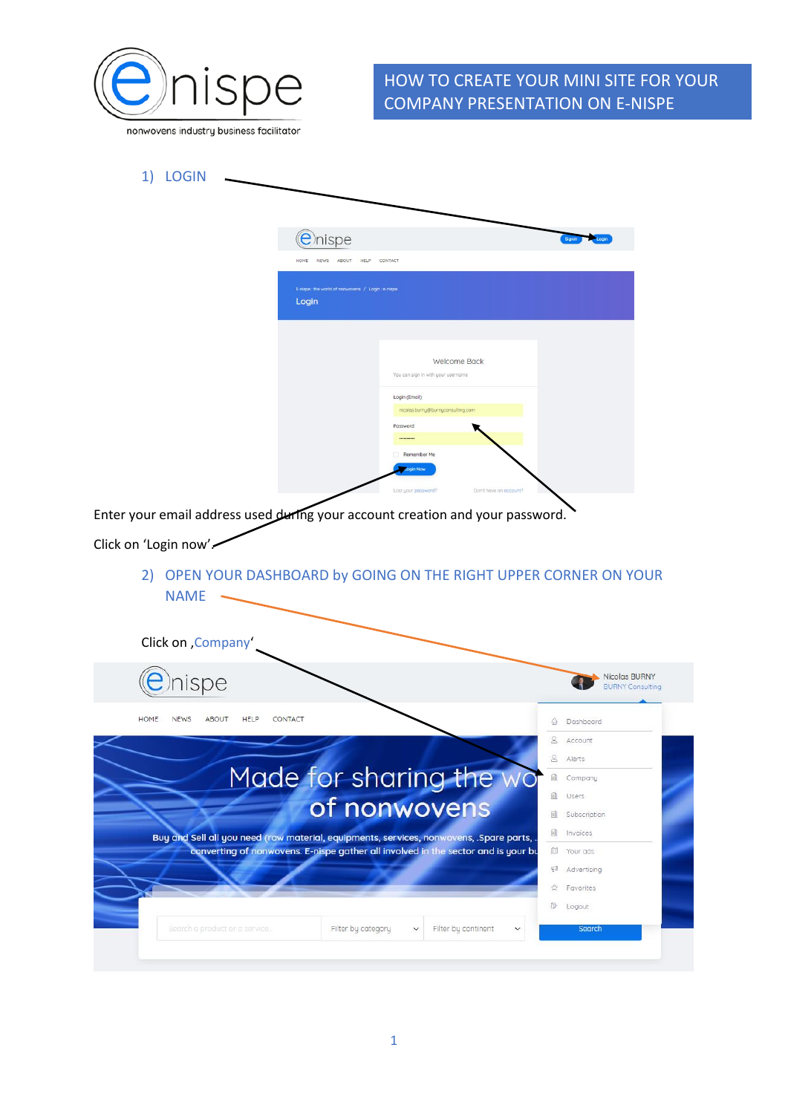

|                                                                                                        | $\Theta$ nispe<br>HOME NEWS ABOUT HELP CONTACT                                                                                                                                               |                                                                                                  |                                          |
|--------------------------------------------------------------------------------------------------------|----------------------------------------------------------------------------------------------------------------------------------------------------------------------------------------------|--------------------------------------------------------------------------------------------------|------------------------------------------|
|                                                                                                        | E-nispe : the world of nonwovens / Login : e-nispe<br>Login                                                                                                                                  |                                                                                                  |                                          |
|                                                                                                        | You can sign in with your username<br>Login (Email)<br>Password<br>Remember Me<br>Login Now                                                                                                  | Welcome Back<br>nicolas.burny@burnyconsulting.com                                                |                                          |
| Enter your email address used during your account creation and your password.<br>Click on 'Login now'. | Lost your password?                                                                                                                                                                          | Don't have an account?                                                                           |                                          |
| <b>NAME</b>                                                                                            |                                                                                                                                                                                              | 2) OPEN YOUR DASHBOARD by GOING ON THE RIGHT UPPER CORNER ON YOUR                                |                                          |
| Click on , Company                                                                                     |                                                                                                                                                                                              |                                                                                                  |                                          |
| ispe                                                                                                   |                                                                                                                                                                                              |                                                                                                  | Nicolas BURNY<br><b>BURNY Consulting</b> |
| HOME<br><b>NEWS</b><br>ABOUT<br>HELP                                                                   | CONTACT                                                                                                                                                                                      | Dashboard<br>倫<br>8<br>Account                                                                   |                                          |
|                                                                                                        | Made for sharing the wo                                                                                                                                                                      | 8<br>Alerts<br>面<br>Company<br>曲<br>Users                                                        |                                          |
|                                                                                                        | of nonwovens<br>Buy and Sell all you need (raw material, equipments, services, nonwovens, .Spare parts,<br>converting of nonwovens. E-nispe gather all involved in the sector and is your bu | 圃<br>Subscription<br>仙<br>Invoices<br>吅<br>Your ads<br>$\mathcal{C}^{\mathbb{R}}$<br>Advertising |                                          |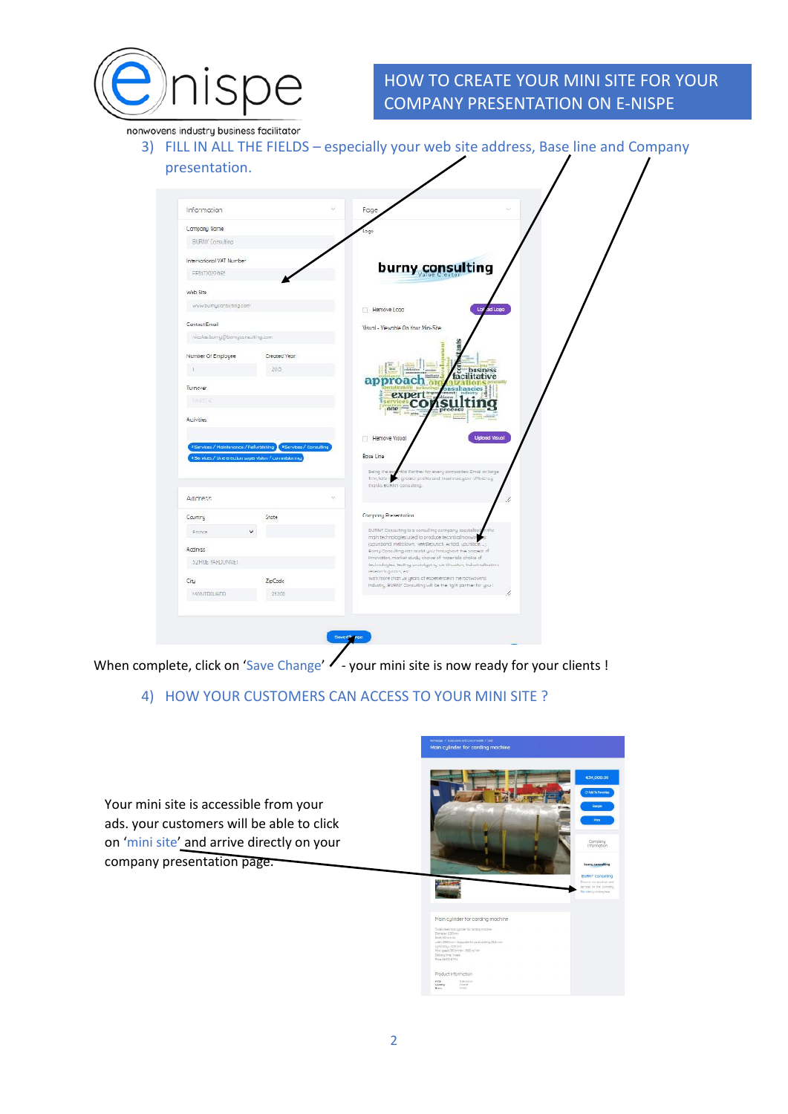

## HOW TO CREATE YOUR MINI SITE FOR YOUR COMPANY PRESENTATION ON E-NISPE

nonwovens industry business facilitator

3) FILL IN ALL THE FIELDS – especially your web site address, Base line and Company presentation.  $\prime$  $\prime$ 

| Information                                          |                                                                         | Q,<br>Fage                                                                                                                                       |
|------------------------------------------------------|-------------------------------------------------------------------------|--------------------------------------------------------------------------------------------------------------------------------------------------|
| Company Name                                         |                                                                         | 50g                                                                                                                                              |
| <b>BURIV</b> Corsuling                               |                                                                         |                                                                                                                                                  |
| International VAT Number                             |                                                                         |                                                                                                                                                  |
| FR5177039-ft85                                       |                                                                         | burny consulting                                                                                                                                 |
| Web Site                                             |                                                                         |                                                                                                                                                  |
| www.bumyconsuting.com                                |                                                                         | Hemove Logo<br>Upl<br>ood Logo                                                                                                                   |
| Contact Email                                        |                                                                         | Visual - Viewable On Your Mini-Site                                                                                                              |
| nicolas.burry@berryconsulting.com                    |                                                                         |                                                                                                                                                  |
| Number Of Employee                                   | Created Year                                                            |                                                                                                                                                  |
| $\blacksquare$                                       | 2013                                                                    | business<br>facilitative                                                                                                                         |
| Turnover                                             |                                                                         | ap<br>roz<br>onsultancies<br>duases                                                                                                              |
| <b>SAUSTA</b>                                        |                                                                         | expert<br>CC<br>one<br>proc                                                                                                                      |
| <b>Activities</b>                                    |                                                                         |                                                                                                                                                  |
|                                                      |                                                                         | Hemove Visual<br><b>Upload Visual</b>                                                                                                            |
|                                                      | <b>XServices / Maintenance / Fefurbishing L. XServices / Consulting</b> | Base Line                                                                                                                                        |
| # So wkcs/ the creditors sayer visitor/ commision by |                                                                         | tital Forther for every comparies Small or large<br>Being the ess                                                                                |
|                                                      |                                                                         | firm, lette is<br>ic grooter profits and mastmac your efficiency.<br>thanks BURN's Consulting.                                                   |
| Address                                              |                                                                         | ×<br>$\mathcal{L}$                                                                                                                               |
| Country                                              | State                                                                   | Company Presentation                                                                                                                             |
| <b>Fronce</b>                                        |                                                                         | DUTNY Consulting is a coroulting company socialised<br>the.<br>main technologies used to produce technical nonworks                              |
| Address                                              |                                                                         | (spunborid mehblown, veedlepunck, Arlock spunktor<br>Burry Consulting can assist you throughout the process of                                   |
| 32 HUE FAHJONNE I                                    |                                                                         | Impratton market study, choce of materials choice of<br>technologies, leating prototyphis, on thouston, inclustrialization,                      |
| City                                                 | ZipCode                                                                 | nesearch gimms, etc.<br>with more than us years of expenence in the nonwovens.<br>Industry, BUREY Consulting will be the right partner for you I |
| MONTBELIAND                                          | 25200                                                                   | L.                                                                                                                                               |
|                                                      |                                                                         |                                                                                                                                                  |

r / San prisord creamate / Sad<br><mark>cylinder for carding ma</mark>chin

When complete, click on 'Save Change' / - your mini site is now ready for your clients !

## 4) HOW YOUR CUSTOMERS CAN ACCESS TO YOUR MINI SITE ?

| Your mini site is accessible from your<br>ads. your customers will be able to click<br>on 'mini site' and arrive directly on your<br>company presentation page. |                                                                                                                                                                                                                                                | ట4,000<br>C Add To Fow<br><b>Sample</b><br>Prop.<br>Compon<br>Informati<br>burny contra<br><b>BURNY Cons</b><br>Diccover our prod<br>errices on the a<br>Mini vite bu cicling |
|-----------------------------------------------------------------------------------------------------------------------------------------------------------------|------------------------------------------------------------------------------------------------------------------------------------------------------------------------------------------------------------------------------------------------|-------------------------------------------------------------------------------------------------------------------------------------------------------------------------------|
|                                                                                                                                                                 | Main culinder for cardina machine<br>To sell steel main culinder for carding machine.<br>Dismeter 1200 mm<br>Shoft 102 mm b6<br>width 2540 mm - deponble for card clathing 25% mm<br>curricity < 0.25 mm<br>Mosi speed 500 tolmin - 1500 m/min |                                                                                                                                                                               |